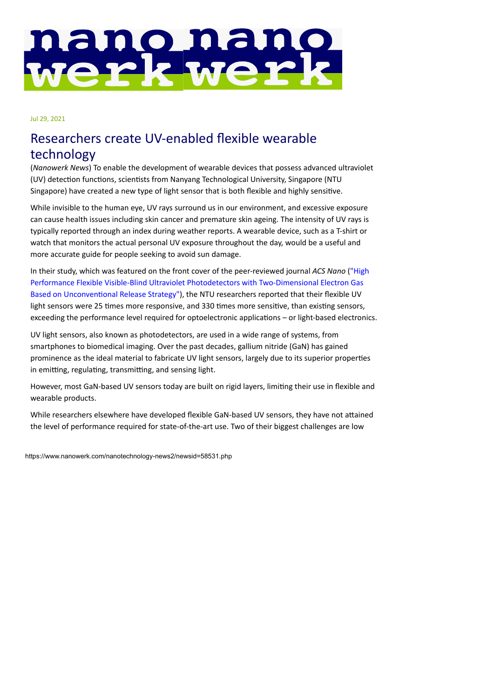## nano nano<br>werkwerk

[Jul 29, 20](https://www.nanowerk.com/socialmedia.php)21

## [Researc](https://www.nanowerk.com/nanotechnology_databases.php)hers create UV-enabled flexible wearable technology

(*[Nanowerk N](https://www.nanowerk.com/nanotechnology-resources.php)ews*) To enable the development of wearable devices that possess advanced ultraviolet (UV) detection functions, scientists from Nanyang Technological University, Singapore (NTU Singapore) have created a new type of light sensor that is both flexible and highly sensitive.

While invisible to the human eye, UV rays surround us in our environment, and excessive exposure can cause health issues including skin cancer and premature skin ageing. The intensity of UV rays is typically reported through an index during weather reports. A wearable device, such as a T-shirt or watch that monitors the actual personal UV exposure throughout the day, would be a useful and more accurate guide for people seeking to avoid sun damage.

In their study, which was featured on the front cover of the peer-reviewed journal *ACS Nano* ("High Performance Flexible Visible-Blind Ultraviolet Photodetectors with Two-Dimensional Electron Gas Based on Unconventional Release Strategy"), the NTU researchers reported that their flexible UV light sensors were 25 times more responsive, and 330 times more sensitive, than existing sensors, exceeding the performance level required for optoelectronic applications – or light-based electronics.

UV light sensors, also known as photodetectors, are used in a wide range of systems, from smartphones to biomedical imaging. Over the past decades, gallium nitride (GaN) has gained prominence as the ideal material to fabricate UV light sensors, largely due to its superior properties in emitting, regulating, transmitting, and sensing light.

However, most GaN-based UV sensors today are built on rigid layers, limiting their use in flexible and wearable products.

While researchers elsewhere have developed flexible GaN-based UV sensors, they have not attained the level of performance required for state-of-the-art use. Two of their biggest challenges are low

https://www.nanowerk.com/nanotechnology-news2/newsid=58531.php